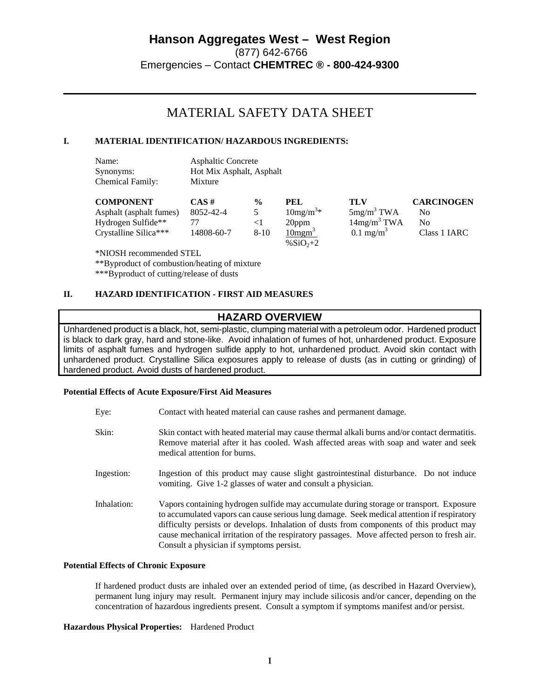# MATERIAL SAFETY DATA SHEET

# **I. MATERIAL IDENTIFICATION/ HAZARDOUS INGREDIENTS:**

| Name:            | <b>Asphaltic Concrete</b> |
|------------------|---------------------------|
| Synonyms:        | Hot Mix Asphalt, Asphalt  |
| Chemical Family: | Mixture                   |

| <b>COMPONENT</b>        | $CAS \#$   | $\frac{0}{0}$ | PEL                   | TLV                     | <b>CARCINOGEN</b> |
|-------------------------|------------|---------------|-----------------------|-------------------------|-------------------|
| Asphalt (asphalt fumes) | 8052-42-4  |               | $10mg/m3$ *           | 5mg/m <sup>3</sup> TWA  | No                |
| Hydrogen Sulfide**      |            |               | 20ppm                 | 14mg/m <sup>3</sup> TWA | No                |
| Crystalline Silica***   | 14808-60-7 | $8 - 10$      | $10$ mgm <sup>3</sup> | $0.1 \text{ mg/m}^3$    | Class 1 IARC      |
|                         |            |               | % $SiO_{2+2}$         |                         |                   |

\*NIOSH recommended STEL

\*\*Byproduct of combustion/heating of mixture

\*\*\*Byproduct of cutting/release of dusts

### **II. HAZARD IDENTIFICATION - FIRST AID MEASURES**

# **HAZARD OVERVIEW**

Unhardened product is a black, hot, semi-plastic, clumping material with a petroleum odor. Hardened product is black to dark gray, hard and stone-like. Avoid inhalation of fumes of hot, unhardened product. Exposure limits of asphalt fumes and hydrogen sulfide apply to hot, unhardened product. Avoid skin contact with unhardened product. Crystalline Silica exposures apply to release of dusts (as in cutting or grinding) of hardened product. Avoid dusts of hardened product.

#### **Potential Effects of Acute Exposure/First Aid Measures**

| Eve: | Contact with heated material can cause rashes and permanent damage. |
|------|---------------------------------------------------------------------|
|------|---------------------------------------------------------------------|

- Skin: Skin contact with heated material may cause thermal alkali burns and/or contact dermatitis. Remove material after it has cooled. Wash affected areas with soap and water and seek medical attention for burns.
- Ingestion: Ingestion of this product may cause slight gastrointestinal disturbance. Do not induce vomiting. Give 1-2 glasses of water and consult a physician.
- Inhalation: Vapors containing hydrogen sulfide may accumulate during storage or transport. Exposure to accumulated vapors can cause serious lung damage. Seek medical attention if respiratory difficulty persists or develops. Inhalation of dusts from components of this product may cause mechanical irritation of the respiratory passages. Move affected person to fresh air. Consult a physician if symptoms persist.

#### **Potential Effects of Chronic Exposure**

If hardened product dusts are inhaled over an extended period of time, (as described in Hazard Overview), permanent lung injury may result. Permanent injury may include silicosis and/or cancer, depending on the concentration of hazardous ingredients present. Consult a symptom if symptoms manifest and/or persist.

#### **Hazardous Physical Properties:** Hardened Product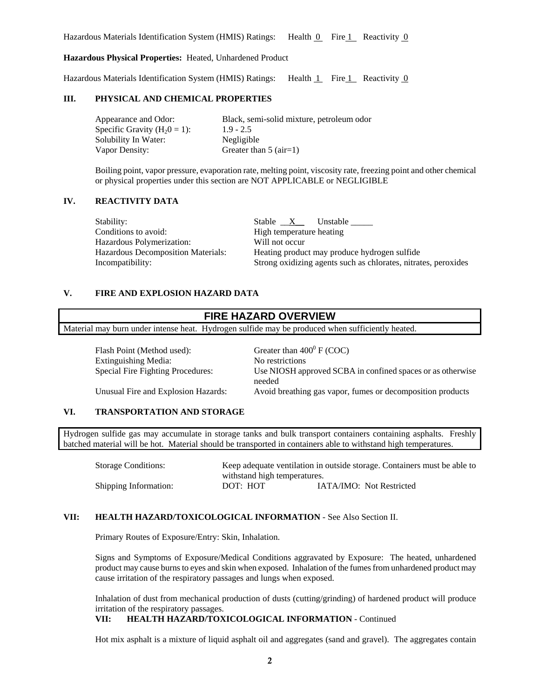Hazardous Materials Identification System (HMIS) Ratings: Health  $\overline{0}$  Fire 1 Reactivity  $\overline{0}$ 

### **Hazardous Physical Properties:** Heated, Unhardened Product

Hazardous Materials Identification System (HMIS) Ratings: Health 1 Fire 1 Reactivity 0

#### **III. PHYSICAL AND CHEMICAL PROPERTIES**

Appearance and Odor: Black, semi-solid mixture, petroleum odor Specific Gravity  $(H_20 = 1)$ : 1.9 - 2.5<br>Solubility In Water: Negligible Solubility In Water: Vapor Density: Greater than 5 (air=1)

Boiling point, vapor pressure, evaporation rate, melting point, viscosity rate, freezing point and other chemical or physical properties under this section are NOT APPLICABLE or NEGLIGIBLE

## **IV. REACTIVITY DATA**

Stability:Stable \_\_X\_\_ Unstable \_\_\_\_\_ Conditions to avoid: High temperature heating Hazardous Polymerization: Will not occur Hazardous Decomposition Materials: Heating product may produce hydrogen sulfide

Incompatibility: Strong oxidizing agents such as chlorates, nitrates, peroxides

### **V. FIRE AND EXPLOSION HAZARD DATA**

| <b>FIRE HAZARD OVERVIEW</b>                                                                      |                                                            |  |  |  |
|--------------------------------------------------------------------------------------------------|------------------------------------------------------------|--|--|--|
| Material may burn under intense heat. Hydrogen sulfide may be produced when sufficiently heated. |                                                            |  |  |  |
|                                                                                                  |                                                            |  |  |  |
| Flash Point (Method used):                                                                       | Greater than $400^{\circ}$ F (COC)                         |  |  |  |
| Extinguishing Media:                                                                             | No restrictions                                            |  |  |  |
| Special Fire Fighting Procedures:                                                                | Use NIOSH approved SCBA in confined spaces or as otherwise |  |  |  |

Unusual Fire and Explosion Hazards: Avoid breathing gas vapor, fumes or decomposition products

## **VI. TRANSPORTATION AND STORAGE**

Hydrogen sulfide gas may accumulate in storage tanks and bulk transport containers containing asphalts. Freshly batched material will be hot. Material should be transported in containers able to withstand high temperatures.

needed

Storage Conditions: Keep adequate ventilation in outside storage. Containers must be able to withstand high temperatures. Shipping Information: DOT: HOT IATA/IMO: Not Restricted

## **VII: HEALTH HAZARD/TOXICOLOGICAL INFORMATION** - See Also Section II.

Primary Routes of Exposure/Entry: Skin, Inhalation.

Signs and Symptoms of Exposure/Medical Conditions aggravated by Exposure: The heated, unhardened product may cause burns to eyes and skin when exposed. Inhalation of the fumes from unhardened product may cause irritation of the respiratory passages and lungs when exposed.

Inhalation of dust from mechanical production of dusts (cutting/grinding) of hardened product will produce irritation of the respiratory passages.

## **VII: HEALTH HAZARD/TOXICOLOGICAL INFORMATION** - Continued

Hot mix asphalt is a mixture of liquid asphalt oil and aggregates (sand and gravel). The aggregates contain